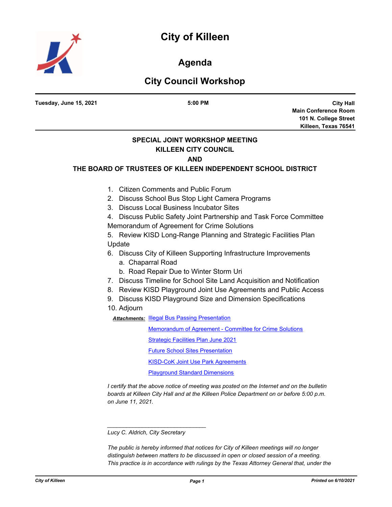

**Agenda**

## **City Council Workshop**

**City Hall Main Conference Room 101 N. College Street Killeen, Texas 76541 Tuesday, June 15, 2021 5:00 PM SPECIAL JOINT WORKSHOP MEETING KILLEEN CITY COUNCIL AND THE BOARD OF TRUSTEES OF KILLEEN INDEPENDENT SCHOOL DISTRICT** 1. Citizen Comments and Public Forum 2. Discuss School Bus Stop Light Camera Programs 3. Discuss Local Business Incubator Sites 4. Discuss Public Safety Joint Partnership and Task Force Committee Memorandum of Agreement for Crime Solutions 5. Review KISD Long-Range Planning and Strategic Facilities Plan Update 6. Discuss City of Killeen Supporting Infrastructure Improvements a. Chaparral Road b. Road Repair Due to Winter Storm Uri 7. Discuss Timeline for School Site Land Acquisition and Notification 8. Review KISD Playground Joint Use Agreements and Public Access 9. Discuss KISD Playground Size and Dimension Specifications 10. Adjourn **Attachments: [Illegal Bus Passing Presentation](http://killeen.legistar.com/gateway.aspx?M=F&ID=e16b2afe-6bc8-4728-b4b2-69fc9a34103b.pdf)** [Memorandum of Agreement - Committee for Crime Solutions](http://killeen.legistar.com/gateway.aspx?M=F&ID=da8065bb-6b4e-4b0a-b668-2bd8ce11c9df.pdf) [Strategic Facilities Plan June 2021](http://killeen.legistar.com/gateway.aspx?M=F&ID=0ab4b794-7ecd-4f47-ab79-88ded67e7339.pdf) **[Future School Sites Presentation](http://killeen.legistar.com/gateway.aspx?M=F&ID=7eddd717-626f-45d9-b161-8440671c6075.pdf) [KISD-CoK Joint Use Park Agreements](http://killeen.legistar.com/gateway.aspx?M=F&ID=067e9348-cf55-4499-8d89-8c8252d4bba0.pdf)** [Playground Standard Dimensions](http://killeen.legistar.com/gateway.aspx?M=F&ID=a625fe26-3bca-4c6e-8e69-346e670eeb95.pdf)

*I certify that the above notice of meeting was posted on the Internet and on the bulletin boards at Killeen City Hall and at the Killeen Police Department on or before 5:00 p.m. on June 11, 2021.*

*\_\_\_\_\_\_\_\_\_\_\_\_\_\_\_\_\_\_\_\_\_\_\_\_\_\_\_\_\_\_\_*

*The public is hereby informed that notices for City of Killeen meetings will no longer distinguish between matters to be discussed in open or closed session of a meeting. This practice is in accordance with rulings by the Texas Attorney General that, under the* 

*Lucy C. Aldrich, City Secretary*